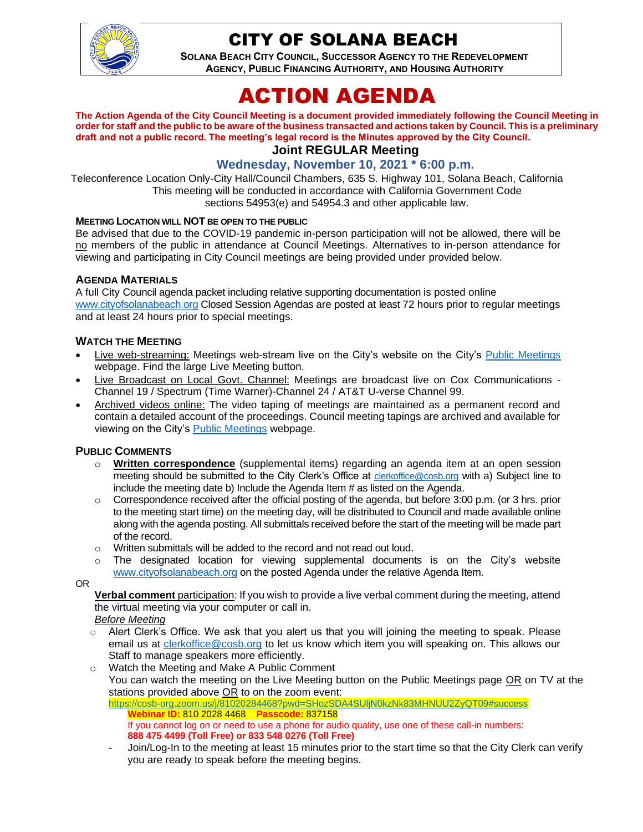

# CITY OF SOLANA BEACH

**SOLANA BEACH CITY COUNCIL, SUCCESSOR AGENCY TO THE REDEVELOPMENT AGENCY, PUBLIC FINANCING AUTHORITY, AND HOUSING AUTHORITY** 

# ACTION AGENDA

**The Action Agenda of the City Council Meeting is a document provided immediately following the Council Meeting in order for staff and the public to be aware of the business transacted and actions taken by Council. This is a preliminary draft and not a public record. The meeting's legal record is the Minutes approved by the City Council.**

# **Joint REGULAR Meeting**

# **Wednesday, November 10, 2021 \* 6:00 p.m.**

Teleconference Location Only-City Hall/Council Chambers, 635 S. Highway 101, Solana Beach, California This meeting will be conducted in accordance with California Government Code sections 54953(e) and 54954.3 and other applicable law.

#### **MEETING LOCATION WILL NOT BE OPEN TO THE PUBLIC**

Be advised that due to the COVID-19 pandemic in-person participation will not be allowed, there will be no members of the public in attendance at Council Meetings. Alternatives to in-person attendance for viewing and participating in City Council meetings are being provided under provided below.

#### **AGENDA MATERIALS**

A full City Council agenda packet including relative supporting documentation is posted online [www.cityofsolanabeach.org](http://www.cityofsolanabeach.org/) Closed Session Agendas are posted at least 72 hours prior to regular meetings and at least 24 hours prior to special meetings.

#### **WATCH THE MEETING**

- Live web-streaming: Meetings web-stream live on the City's website on the City's [Public Meetings](https://urldefense.proofpoint.com/v2/url?u=https-3A__www.ci.solana-2Dbeach.ca.us_index.asp-3FSEC-3DF0F1200D-2D21C6-2D4A88-2D8AE1-2D0BC07C1A81A7-26Type-3DB-5FBASIC&d=DwMFAg&c=euGZstcaTDllvimEN8b7jXrwqOf-v5A_CdpgnVfiiMM&r=1XAsCUuqwK_tji2t0s1uIQ&m=wny2RVfZJ2tN24LkqZmkUWNpwL_peNtTZUBlTBZiMM4&s=WwpcEQpHHkFen6nS6q2waMuQ_VMZ-i1YZ60lD-dYRRE&e=) webpage. Find the large Live Meeting button.
- Live Broadcast on Local Govt. Channel: Meetings are broadcast live on Cox Communications Channel 19 / Spectrum (Time Warner)-Channel 24 / AT&T U-verse Channel 99.
- Archived videos online: The video taping of meetings are maintained as a permanent record and contain a detailed account of the proceedings. Council meeting tapings are archived and available for viewing on the City's [Public Meetings](https://urldefense.proofpoint.com/v2/url?u=https-3A__www.ci.solana-2Dbeach.ca.us_index.asp-3FSEC-3DF0F1200D-2D21C6-2D4A88-2D8AE1-2D0BC07C1A81A7-26Type-3DB-5FBASIC&d=DwMFAg&c=euGZstcaTDllvimEN8b7jXrwqOf-v5A_CdpgnVfiiMM&r=1XAsCUuqwK_tji2t0s1uIQ&m=wny2RVfZJ2tN24LkqZmkUWNpwL_peNtTZUBlTBZiMM4&s=WwpcEQpHHkFen6nS6q2waMuQ_VMZ-i1YZ60lD-dYRRE&e=) webpage.

#### **PUBLIC COMMENTS**

- o **Written correspondence** (supplemental items) regarding an agenda item at an open session meeting should be submitted to the City Clerk's Office at [clerkoffice@cosb.org](mailto:clerkoffice@cosb.org) with a) Subject line to include the meeting date b) Include the Agenda Item # as listed on the Agenda.
- $\circ$  Correspondence received after the official posting of the agenda, but before 3:00 p.m. (or 3 hrs. prior to the meeting start time) on the meeting day, will be distributed to Council and made available online along with the agenda posting. All submittals received before the start of the meeting will be made part of the record.
- o Written submittals will be added to the record and not read out loud.
- $\circ$  The designated location for viewing supplemental documents is on the City's website [www.cityofsolanabeach.org](http://www.cityofsolanabeach.org/) on the posted Agenda under the relative Agenda Item.

OR

**Verbal comment** participation: If you wish to provide a live verbal comment during the meeting, attend the virtual meeting via your computer or call in.

#### *Before Meeting*

- $\circ$  Alert Clerk's Office. We ask that you alert us that you will joining the meeting to speak. Please email us at [clerkoffice@cosb.org](mailto:clerkoffice@cosb.org) to let us know which item you will speaking on. This allows our Staff to manage speakers more efficiently.
- o Watch the Meeting and Make A Public Comment You can watch the meeting on the Live Meeting button on the Public Meetings page OR on TV at the stations provided above OR to on the zoom event: <https://cosb-org.zoom.us/j/81020284468?pwd=SHozSDA4SUljN0kzNk83MHNUU2ZyQT09#success>
	- **Webinar ID:** 810 2028 4468 **Passcode:** 837158 If you cannot log on or need to use a phone for audio quality, use one of these call-in numbers: **888 475 4499 (Toll Free) or 833 548 0276 (Toll Free)**
	- Join/Log-In to the meeting at least 15 minutes prior to the start time so that the City Clerk can verify you are ready to speak before the meeting begins.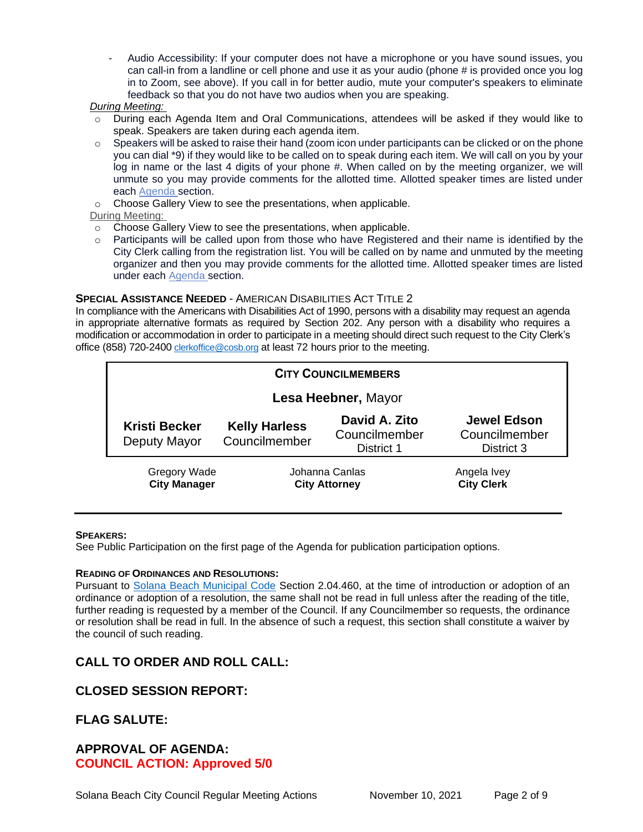Audio Accessibility: If your computer does not have a microphone or you have sound issues, you can call-in from a landline or cell phone and use it as your audio (phone # is provided once you log in to Zoom, see above). If you call in for better audio, mute your computer's speakers to eliminate feedback so that you do not have two audios when you are speaking.

#### *During Meeting:*

- During each Agenda Item and Oral Communications, attendees will be asked if they would like to speak. Speakers are taken during each agenda item.
- $\circ$  Speakers will be asked to raise their hand (zoom icon under participants can be clicked or on the phone you can dial \*9) if they would like to be called on to speak during each item. We will call on you by your log in name or the last 4 digits of your phone #. When called on by the meeting organizer, we will unmute so you may provide comments for the allotted time. Allotted speaker times are listed under each [Agenda s](https://urldefense.proofpoint.com/v2/url?u=https-3A__www.ci.solana-2Dbeach.ca.us_index.asp-3FSEC-3DF0F1200D-2D21C6-2D4A88-2D8AE1-2D0BC07C1A81A7-26Type-3DB-5FBASIC&d=DwMFaQ&c=euGZstcaTDllvimEN8b7jXrwqOf-v5A_CdpgnVfiiMM&r=1XAsCUuqwK_tji2t0s1uIQ&m=C7WzXfOw2_nkEFMJClT55zZsF4tmIf_7KTn0o1WpYqI&s=3DcsWExM2_nx_xpvFtXslUjphiXd0MDCCF18y_Qy5yU&e=)ection.
- o Choose Gallery View to see the presentations, when applicable.

#### During Meeting:

- o Choose Gallery View to see the presentations, when applicable.
- $\circ$  Participants will be called upon from those who have Registered and their name is identified by the City Clerk calling from the registration list. You will be called on by name and unmuted by the meeting organizer and then you may provide comments for the allotted time. Allotted speaker times are listed under each [Agenda s](https://urldefense.proofpoint.com/v2/url?u=https-3A__www.ci.solana-2Dbeach.ca.us_index.asp-3FSEC-3DF0F1200D-2D21C6-2D4A88-2D8AE1-2D0BC07C1A81A7-26Type-3DB-5FBASIC&d=DwMFaQ&c=euGZstcaTDllvimEN8b7jXrwqOf-v5A_CdpgnVfiiMM&r=1XAsCUuqwK_tji2t0s1uIQ&m=C7WzXfOw2_nkEFMJClT55zZsF4tmIf_7KTn0o1WpYqI&s=3DcsWExM2_nx_xpvFtXslUjphiXd0MDCCF18y_Qy5yU&e=)ection.

#### **SPECIAL ASSISTANCE NEEDED** - AMERICAN DISABILITIES ACT TITLE 2

In compliance with the Americans with Disabilities Act of 1990, persons with a disability may request an agenda in appropriate alternative formats as required by Section 202. Any person with a disability who requires a modification or accommodation in order to participate in a meeting should direct such request to the City Clerk's office (858) 720-2400 [clerkoffice@cosb.org](mailto:EMAILGRP-CityClerksOfc@cosb.org) at least 72 hours prior to the meeting.

| <b>CITY COUNCILMEMBERS</b>                 |                                        |                                              |                                                   |
|--------------------------------------------|----------------------------------------|----------------------------------------------|---------------------------------------------------|
| Lesa Heebner, Mayor                        |                                        |                                              |                                                   |
| <b>Kristi Becker</b><br>Deputy Mayor       | <b>Kelly Harless</b><br>Councilmember  | David A. Zito<br>Councilmember<br>District 1 | <b>Jewel Edson</b><br>Councilmember<br>District 3 |
| <b>Gregory Wade</b><br><b>City Manager</b> | Johanna Canlas<br><b>City Attorney</b> |                                              | Angela Ivey<br><b>City Clerk</b>                  |

#### **SPEAKERS:**

See Public Participation on the first page of the Agenda for publication participation options.

#### **READING OF ORDINANCES AND RESOLUTIONS:**

Pursuant to [Solana Beach Municipal Code](https://www.codepublishing.com/CA/SolanaBeach/) Section 2.04.460, at the time of introduction or adoption of an ordinance or adoption of a resolution, the same shall not be read in full unless after the reading of the title, further reading is requested by a member of the Council. If any Councilmember so requests, the ordinance or resolution shall be read in full. In the absence of such a request, this section shall constitute a waiver by the council of such reading.

#### **CALL TO ORDER AND ROLL CALL:**

#### **CLOSED SESSION REPORT:**

#### **FLAG SALUTE:**

# **APPROVAL OF AGENDA: COUNCIL ACTION: Approved 5/0**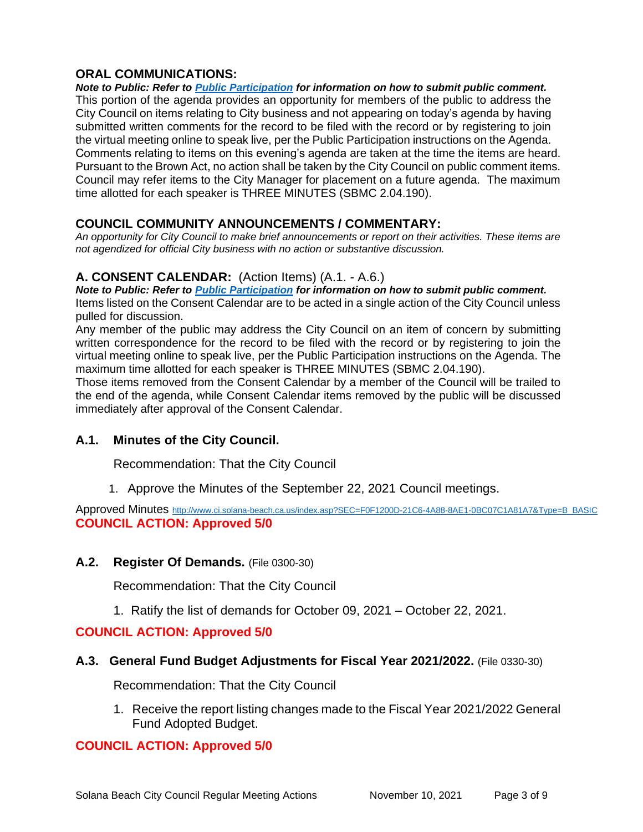# **ORAL COMMUNICATIONS:**

*Note to Public: Refer to Public Participation for information on how to submit public comment.*  This portion of the agenda provides an opportunity for members of the public to address the City Council on items relating to City business and not appearing on today's agenda by having submitted written comments for the record to be filed with the record or by registering to join the virtual meeting online to speak live, per the Public Participation instructions on the Agenda. Comments relating to items on this evening's agenda are taken at the time the items are heard. Pursuant to the Brown Act, no action shall be taken by the City Council on public comment items. Council may refer items to the City Manager for placement on a future agenda. The maximum time allotted for each speaker is THREE MINUTES (SBMC 2.04.190).

# **COUNCIL COMMUNITY ANNOUNCEMENTS / COMMENTARY:**

*An opportunity for City Council to make brief announcements or report on their activities. These items are not agendized for official City business with no action or substantive discussion.* 

# **A. CONSENT CALENDAR:** (Action Items) (A.1. - A.6.)

*Note to Public: Refer to Public Participation for information on how to submit public comment.*  Items listed on the Consent Calendar are to be acted in a single action of the City Council unless pulled for discussion.

Any member of the public may address the City Council on an item of concern by submitting written correspondence for the record to be filed with the record or by registering to join the virtual meeting online to speak live, per the Public Participation instructions on the Agenda. The maximum time allotted for each speaker is THREE MINUTES (SBMC 2.04.190).

Those items removed from the Consent Calendar by a member of the Council will be trailed to the end of the agenda, while Consent Calendar items removed by the public will be discussed immediately after approval of the Consent Calendar.

# **A.1. Minutes of the City Council.**

Recommendation: That the City Council

1. Approve the Minutes of the September 22, 2021 Council meetings.

Approved Minutes [http://www.ci.solana-beach.ca.us/index.asp?SEC=F0F1200D-21C6-4A88-8AE1-0BC07C1A81A7&Type=B\\_BASIC](http://www.ci.solana-beach.ca.us/index.asp?SEC=F0F1200D-21C6-4A88-8AE1-0BC07C1A81A7&Type=B_BASIC) **COUNCIL ACTION: Approved 5/0**

# **A.2. Register Of Demands.** (File 0300-30)

Recommendation: That the City Council

1. Ratify the list of demands for October 09, 2021 – October 22, 2021.

# **COUNCIL ACTION: Approved 5/0**

# **A.3. General Fund Budget Adjustments for Fiscal Year 2021/2022.** (File 0330-30)

Recommendation: That the City Council

1. Receive the report listing changes made to the Fiscal Year 2021/2022 General Fund Adopted Budget.

# **COUNCIL ACTION: Approved 5/0**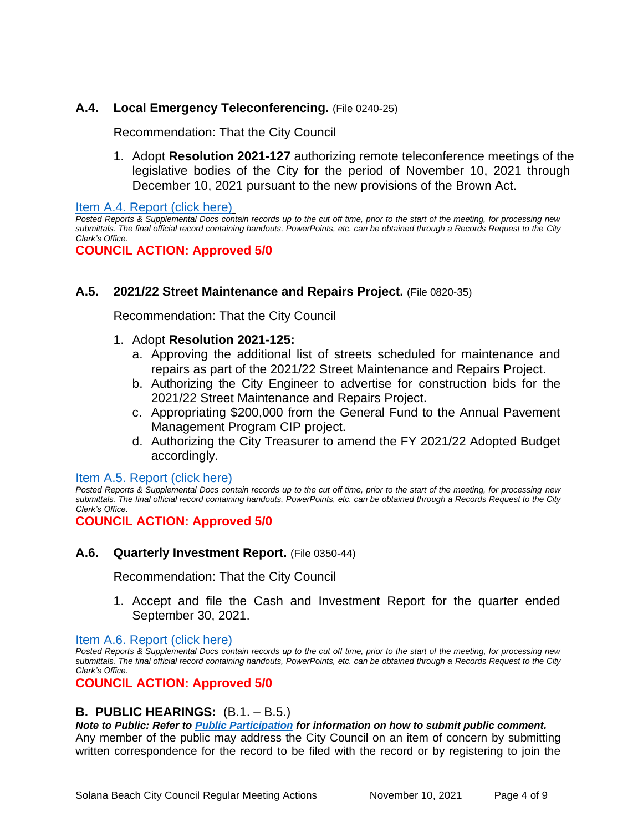# **A.4. Local Emergency Teleconferencing.** (File 0240-25)

Recommendation: That the City Council

1. Adopt **Resolution 2021-127** authorizing remote teleconference meetings of the legislative bodies of the City for the period of November 10, 2021 through December 10, 2021 pursuant to the new provisions of the Brown Act.

[Item A.4. Report \(click here\)](https://solanabeach.govoffice3.com/vertical/Sites/%7B840804C2-F869-4904-9AE3-720581350CE7%7D/uploads/Item_A.4._Report_(click_here)_-_11-10-21_O.pdf)

*Posted Reports & Supplemental Docs contain records up to the cut off time, prior to the start of the meeting, for processing new submittals. The final official record containing handouts, PowerPoints, etc. can be obtained through a Records Request to the City Clerk's Office.*

**COUNCIL ACTION: Approved 5/0**

# **A.5. 2021/22 Street Maintenance and Repairs Project.** (File 0820-35)

Recommendation: That the City Council

- 1. Adopt **Resolution 2021-125:**
	- a. Approving the additional list of streets scheduled for maintenance and repairs as part of the 2021/22 Street Maintenance and Repairs Project.
	- b. Authorizing the City Engineer to advertise for construction bids for the 2021/22 Street Maintenance and Repairs Project.
	- c. Appropriating \$200,000 from the General Fund to the Annual Pavement Management Program CIP project.
	- d. Authorizing the City Treasurer to amend the FY 2021/22 Adopted Budget accordingly.

#### [Item A.5. Report \(click here\)](https://solanabeach.govoffice3.com/vertical/Sites/%7B840804C2-F869-4904-9AE3-720581350CE7%7D/uploads/Item_A.5._Report_(click_here)_-_11-10-21_O.pdf)

*Posted Reports & Supplemental Docs contain records up to the cut off time, prior to the start of the meeting, for processing new submittals. The final official record containing handouts, PowerPoints, etc. can be obtained through a Records Request to the City Clerk's Office.*

**COUNCIL ACTION: Approved 5/0**

#### **A.6. Quarterly Investment Report.** (File 0350-44)

Recommendation: That the City Council

1. Accept and file the Cash and Investment Report for the quarter ended September 30, 2021.

[Item A.6. Report \(click here\)](https://solanabeach.govoffice3.com/vertical/Sites/%7B840804C2-F869-4904-9AE3-720581350CE7%7D/uploads/Item_A.6._Report_(click_here)_-_11-10-21_O.pdf)

*Posted Reports & Supplemental Docs contain records up to the cut off time, prior to the start of the meeting, for processing new submittals. The final official record containing handouts, PowerPoints, etc. can be obtained through a Records Request to the City Clerk's Office.*

#### **COUNCIL ACTION: Approved 5/0**

#### **B. PUBLIC HEARINGS:** (B.1. – B.5.)

*Note to Public: Refer to Public Participation for information on how to submit public comment.* 

Any member of the public may address the City Council on an item of concern by submitting written correspondence for the record to be filed with the record or by registering to join the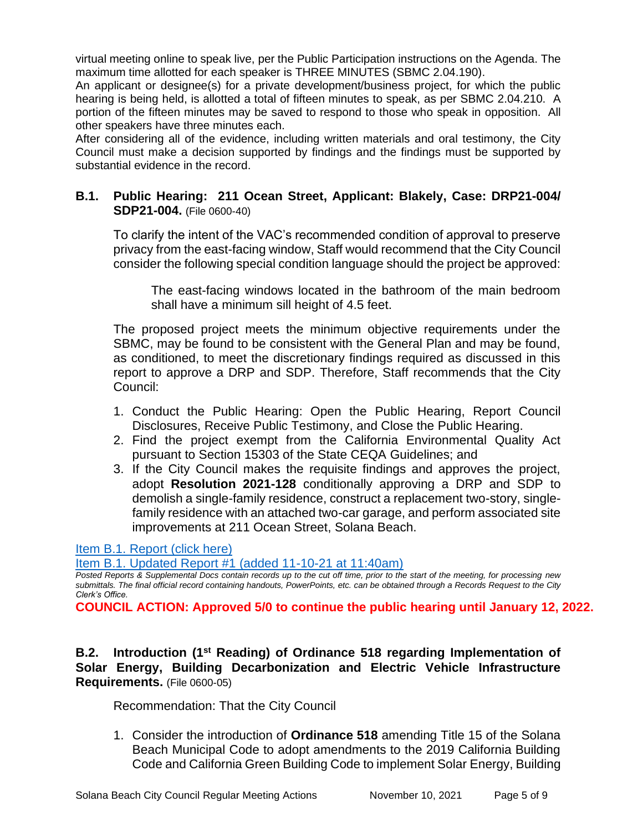virtual meeting online to speak live, per the Public Participation instructions on the Agenda. The maximum time allotted for each speaker is THREE MINUTES (SBMC 2.04.190).

An applicant or designee(s) for a private development/business project, for which the public hearing is being held, is allotted a total of fifteen minutes to speak, as per SBMC 2.04.210. A portion of the fifteen minutes may be saved to respond to those who speak in opposition. All other speakers have three minutes each.

After considering all of the evidence, including written materials and oral testimony, the City Council must make a decision supported by findings and the findings must be supported by substantial evidence in the record.

# **B.1. Public Hearing: 211 Ocean Street, Applicant: Blakely, Case: DRP21-004/ SDP21-004.** (File 0600-40)

To clarify the intent of the VAC's recommended condition of approval to preserve privacy from the east-facing window, Staff would recommend that the City Council consider the following special condition language should the project be approved:

The east-facing windows located in the bathroom of the main bedroom shall have a minimum sill height of 4.5 feet.

The proposed project meets the minimum objective requirements under the SBMC, may be found to be consistent with the General Plan and may be found, as conditioned, to meet the discretionary findings required as discussed in this report to approve a DRP and SDP. Therefore, Staff recommends that the City Council:

- 1. Conduct the Public Hearing: Open the Public Hearing, Report Council Disclosures, Receive Public Testimony, and Close the Public Hearing.
- 2. Find the project exempt from the California Environmental Quality Act pursuant to Section 15303 of the State CEQA Guidelines; and
- 3. If the City Council makes the requisite findings and approves the project, adopt **Resolution 2021-128** conditionally approving a DRP and SDP to demolish a single-family residence, construct a replacement two-story, singlefamily residence with an attached two-car garage, and perform associated site improvements at 211 Ocean Street, Solana Beach.

# [Item B.1. Report \(click here\)](https://solanabeach.govoffice3.com/vertical/Sites/%7B840804C2-F869-4904-9AE3-720581350CE7%7D/uploads/Item_B.1._Report_(click_here)_-_11-10-21_O.pdf)

[Item B.1. Updated Report #1 \(added 11-10-21](https://solanabeach.govoffice3.com/vertical/Sites/%7B840804C2-F869-4904-9AE3-720581350CE7%7D/uploads/Item_B.1._Updated_Report_1_(11-10_at_11am)_-_O.pdf) at 11:40am)

*Posted Reports & Supplemental Docs contain records up to the cut off time, prior to the start of the meeting, for processing new submittals. The final official record containing handouts, PowerPoints, etc. can be obtained through a Records Request to the City Clerk's Office.*

**COUNCIL ACTION: Approved 5/0 to continue the public hearing until January 12, 2022.** 

# **B.2. Introduction (1st Reading) of Ordinance 518 regarding Implementation of Solar Energy, Building Decarbonization and Electric Vehicle Infrastructure Requirements.** (File 0600-05)

Recommendation: That the City Council

1. Consider the introduction of **Ordinance 518** amending Title 15 of the Solana Beach Municipal Code to adopt amendments to the 2019 California Building Code and California Green Building Code to implement Solar Energy, Building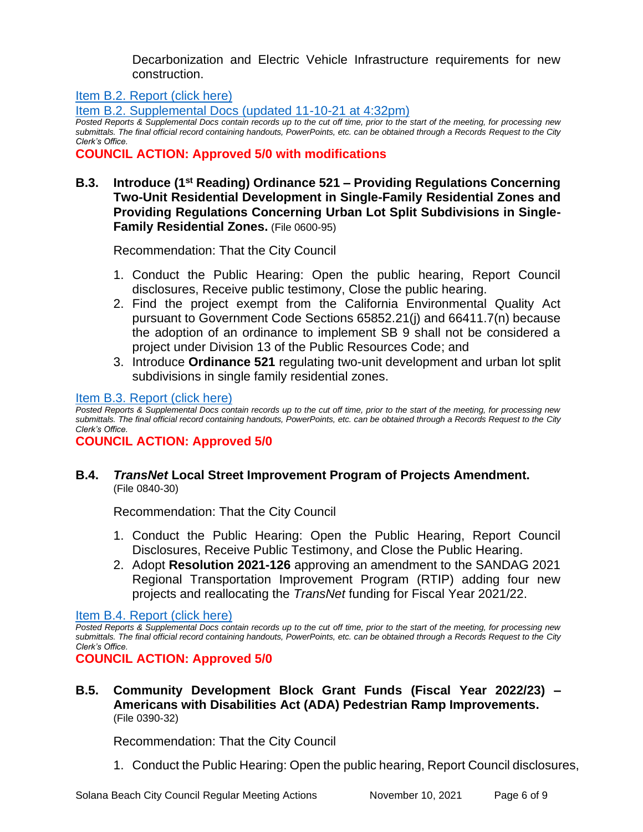Decarbonization and Electric Vehicle Infrastructure requirements for new construction.

[Item B.2. Report \(click here\)](https://solanabeach.govoffice3.com/vertical/Sites/%7B840804C2-F869-4904-9AE3-720581350CE7%7D/uploads/Item_B.2._Report_(click_here)_-_11-10-21_O.pdf)

[Item B.2. Supplemental Docs \(updated 11-10-21](https://solanabeach.govoffice3.com/vertical/Sites/%7B840804C2-F869-4904-9AE3-720581350CE7%7D/uploads/Item_B.2._Supplemental_Docs_(Upd._11-10_425pm)_-_O.pdf) at 4:32pm)

*Posted Reports & Supplemental Docs contain records up to the cut off time, prior to the start of the meeting, for processing new submittals. The final official record containing handouts, PowerPoints, etc. can be obtained through a Records Request to the City Clerk's Office.*

**COUNCIL ACTION: Approved 5/0 with modifications**

# **B.3. Introduce (1st Reading) Ordinance 521 – Providing Regulations Concerning Two-Unit Residential Development in Single-Family Residential Zones and Providing Regulations Concerning Urban Lot Split Subdivisions in Single-Family Residential Zones.** (File 0600-95)

Recommendation: That the City Council

- 1. Conduct the Public Hearing: Open the public hearing, Report Council disclosures, Receive public testimony, Close the public hearing.
- 2. Find the project exempt from the California Environmental Quality Act pursuant to Government Code Sections 65852.21(j) and 66411.7(n) because the adoption of an ordinance to implement SB 9 shall not be considered a project under Division 13 of the Public Resources Code; and
- 3. Introduce **Ordinance 521** regulating two-unit development and urban lot split subdivisions in single family residential zones.

#### [Item B.3. Report \(click here\)](https://solanabeach.govoffice3.com/vertical/Sites/%7B840804C2-F869-4904-9AE3-720581350CE7%7D/uploads/Item_B.3._Report_(click_here)_-_11-10-21_O.pdf)

*Posted Reports & Supplemental Docs contain records up to the cut off time, prior to the start of the meeting, for processing new submittals. The final official record containing handouts, PowerPoints, etc. can be obtained through a Records Request to the City Clerk's Office.*

**COUNCIL ACTION: Approved 5/0**

#### **B.4.** *TransNet* **Local Street Improvement Program of Projects Amendment.** (File 0840-30)

Recommendation: That the City Council

- 1. Conduct the Public Hearing: Open the Public Hearing, Report Council Disclosures, Receive Public Testimony, and Close the Public Hearing.
- 2. Adopt **Resolution 2021-126** approving an amendment to the SANDAG 2021 Regional Transportation Improvement Program (RTIP) adding four new projects and reallocating the *TransNet* funding for Fiscal Year 2021/22.

[Item B.4. Report \(click here\)](https://solanabeach.govoffice3.com/vertical/Sites/%7B840804C2-F869-4904-9AE3-720581350CE7%7D/uploads/Item_B.4._Report_(click_here)_-_11-10-21_O.pdf)

*Posted Reports & Supplemental Docs contain records up to the cut off time, prior to the start of the meeting, for processing new submittals. The final official record containing handouts, PowerPoints, etc. can be obtained through a Records Request to the City Clerk's Office.*

# **COUNCIL ACTION: Approved 5/0**

# **B.5. Community Development Block Grant Funds (Fiscal Year 2022/23) – Americans with Disabilities Act (ADA) Pedestrian Ramp Improvements.**  (File 0390-32)

Recommendation: That the City Council

1. Conduct the Public Hearing: Open the public hearing, Report Council disclosures,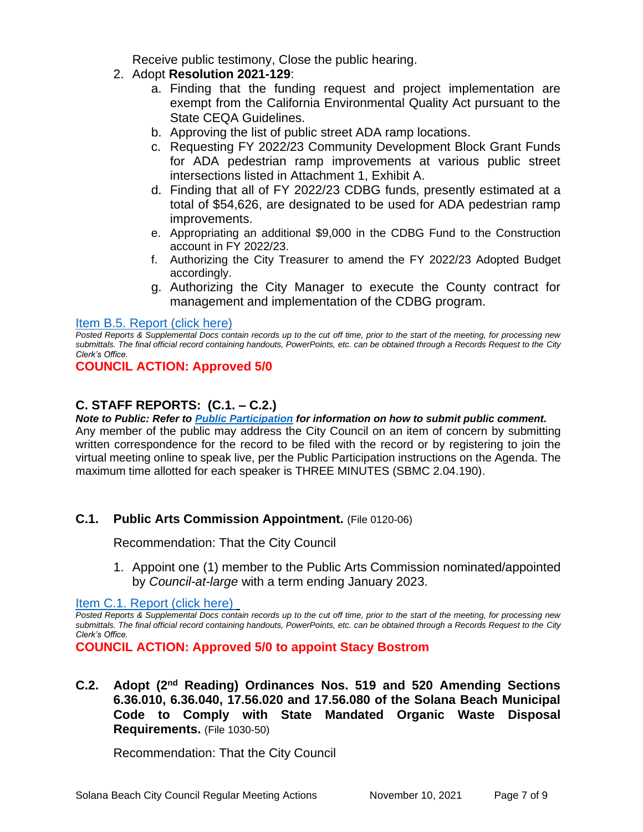Receive public testimony, Close the public hearing.

- 2. Adopt **Resolution 2021-129**:
	- a. Finding that the funding request and project implementation are exempt from the California Environmental Quality Act pursuant to the State CEQA Guidelines.
	- b. Approving the list of public street ADA ramp locations.
	- c. Requesting FY 2022/23 Community Development Block Grant Funds for ADA pedestrian ramp improvements at various public street intersections listed in Attachment 1, Exhibit A.
	- d. Finding that all of FY 2022/23 CDBG funds, presently estimated at a total of \$54,626, are designated to be used for ADA pedestrian ramp improvements.
	- e. Appropriating an additional \$9,000 in the CDBG Fund to the Construction account in FY 2022/23.
	- f. Authorizing the City Treasurer to amend the FY 2022/23 Adopted Budget accordingly.
	- g. Authorizing the City Manager to execute the County contract for management and implementation of the CDBG program.

# [Item B.5. Report \(click here\)](https://solanabeach.govoffice3.com/vertical/Sites/%7B840804C2-F869-4904-9AE3-720581350CE7%7D/uploads/Item_B.5._Report_(Click_here)_-_11-10-21_O.pdf)

*Posted Reports & Supplemental Docs contain records up to the cut off time, prior to the start of the meeting, for processing new submittals. The final official record containing handouts, PowerPoints, etc. can be obtained through a Records Request to the City Clerk's Office.*

# **COUNCIL ACTION: Approved 5/0**

# **C. STAFF REPORTS: (C.1. – C.2.)**

*Note to Public: Refer to Public Participation for information on how to submit public comment.*  Any member of the public may address the City Council on an item of concern by submitting written correspondence for the record to be filed with the record or by registering to join the virtual meeting online to speak live, per the Public Participation instructions on the Agenda. The maximum time allotted for each speaker is THREE MINUTES (SBMC 2.04.190).

# **C.1. Public Arts Commission Appointment.** (File 0120-06)

Recommendation: That the City Council

1. Appoint one (1) member to the Public Arts Commission nominated/appointed by *Council-at-large* with a term ending January 2023.

Item C.1. Report (click here)

*Posted Reports & Supplemental Docs contain records up to the cut off time, prior to the start of the meeting, for processing new submittals. The final official record containing handouts, PowerPoints, etc. can be obtained through a Records Request to the City Clerk's Office.*

**COUNCIL ACTION: Approved 5/0 to appoint Stacy Bostrom**

**C.2. Adopt (2nd Reading) Ordinances Nos. 519 and 520 Amending Sections 6.36.010, 6.36.040, 17.56.020 and 17.56.080 of the Solana Beach Municipal Code to Comply with State Mandated Organic Waste Disposal Requirements.** (File 1030-50)

Recommendation: That the City Council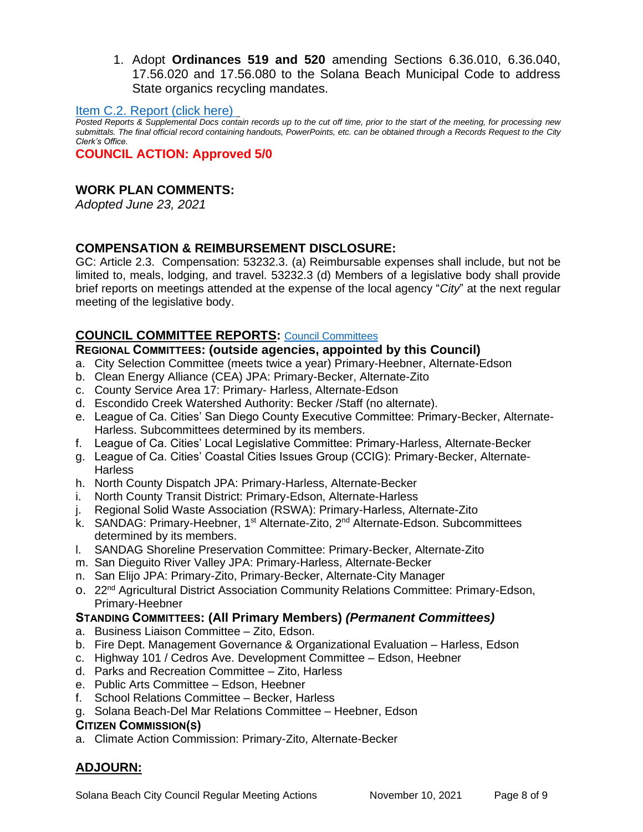1. Adopt **Ordinances 519 and 520** amending Sections 6.36.010, 6.36.040, 17.56.020 and 17.56.080 to the Solana Beach Municipal Code to address State organics recycling mandates.

#### [Item C.2. Report](https://solanabeach.govoffice3.com/vertical/Sites/%7B840804C2-F869-4904-9AE3-720581350CE7%7D/uploads/Item_C.2._Report_(click_here)_-_11-10-21_O.pdf) (click here)

*Posted Reports & Supplemental Docs contain records up to the cut off time, prior to the start of the meeting, for processing new submittals. The final official record containing handouts, PowerPoints, etc. can be obtained through a Records Request to the City Clerk's Office.*

**COUNCIL ACTION: Approved 5/0**

# **WORK PLAN COMMENTS:**

*Adopted June 23, 2021*

# **COMPENSATION & REIMBURSEMENT DISCLOSURE:**

GC: Article 2.3. Compensation: 53232.3. (a) Reimbursable expenses shall include, but not be limited to, meals, lodging, and travel. 53232.3 (d) Members of a legislative body shall provide brief reports on meetings attended at the expense of the local agency "*City*" at the next regular meeting of the legislative body.

#### **COUNCIL COMMITTEE REPORTS:** [Council Committees](https://www.ci.solana-beach.ca.us/index.asp?SEC=584E1192-3850-46EA-B977-088AC3E81E0D&Type=B_BASIC)

# **REGIONAL COMMITTEES: (outside agencies, appointed by this Council)**

- a. City Selection Committee (meets twice a year) Primary-Heebner, Alternate-Edson
- b. Clean Energy Alliance (CEA) JPA: Primary-Becker, Alternate-Zito
- c. County Service Area 17: Primary- Harless, Alternate-Edson
- d. Escondido Creek Watershed Authority: Becker /Staff (no alternate).
- e. League of Ca. Cities' San Diego County Executive Committee: Primary-Becker, Alternate-Harless. Subcommittees determined by its members.
- f. League of Ca. Cities' Local Legislative Committee: Primary-Harless, Alternate-Becker
- g. League of Ca. Cities' Coastal Cities Issues Group (CCIG): Primary-Becker, Alternate-**Harless**
- h. North County Dispatch JPA: Primary-Harless, Alternate-Becker
- i. North County Transit District: Primary-Edson, Alternate-Harless
- j. Regional Solid Waste Association (RSWA): Primary-Harless, Alternate-Zito
- k. SANDAG: Primary-Heebner, 1<sup>st</sup> Alternate-Zito, 2<sup>nd</sup> Alternate-Edson. Subcommittees determined by its members.
- l. SANDAG Shoreline Preservation Committee: Primary-Becker, Alternate-Zito
- m. San Dieguito River Valley JPA: Primary-Harless, Alternate-Becker
- n. San Elijo JPA: Primary-Zito, Primary-Becker, Alternate-City Manager
- o. 22nd Agricultural District Association Community Relations Committee: Primary-Edson, Primary-Heebner

#### **STANDING COMMITTEES: (All Primary Members)** *(Permanent Committees)*

- a. Business Liaison Committee Zito, Edson.
- b. Fire Dept. Management Governance & Organizational Evaluation Harless, Edson
- c. Highway 101 / Cedros Ave. Development Committee Edson, Heebner
- d. Parks and Recreation Committee Zito, Harless
- e. Public Arts Committee Edson, Heebner
- f. School Relations Committee Becker, Harless
- g. Solana Beach-Del Mar Relations Committee Heebner, Edson

#### **CITIZEN COMMISSION(S)**

a. Climate Action Commission: Primary-Zito, Alternate-Becker

# **ADJOURN:**